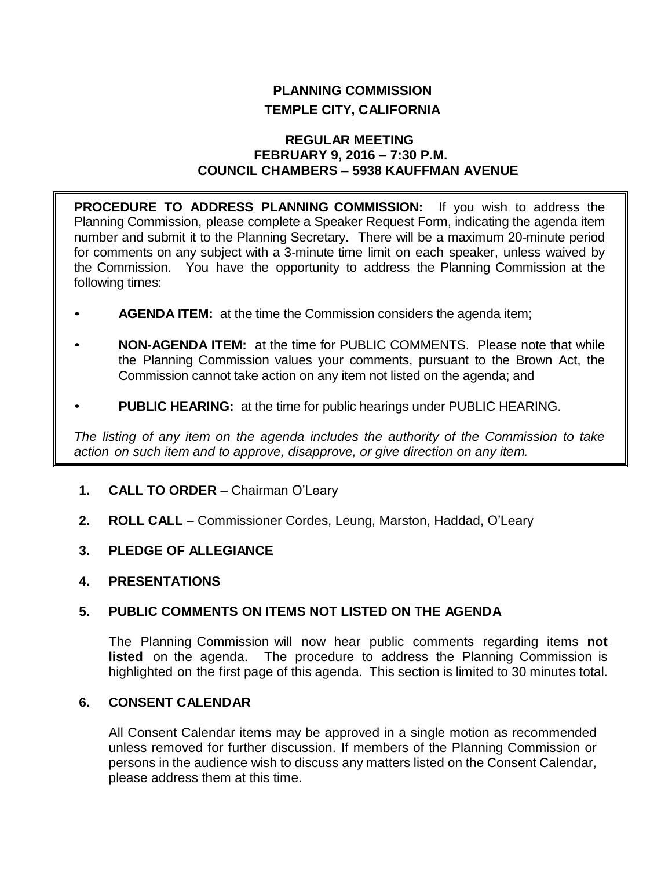# **PLANNING COMMISSION TEMPLE CITY, CALIFORNIA**

#### **REGULAR MEETING FEBRUARY 9, 2016 – 7:30 P.M. COUNCIL CHAMBERS – 5938 KAUFFMAN AVENUE**

**PROCEDURE TO ADDRESS PLANNING COMMISSION:** If you wish to address the Planning Commission, please complete a Speaker Request Form, indicating the agenda item number and submit it to the Planning Secretary. There will be a maximum 20-minute period for comments on any subject with a 3-minute time limit on each speaker, unless waived by the Commission. You have the opportunity to address the Planning Commission at the following times:

- **AGENDA ITEM:** at the time the Commission considers the agenda item;
- **NON-AGENDA ITEM:** at the time for PUBLIC COMMENTS. Please note that while the Planning Commission values your comments, pursuant to the Brown Act, the Commission cannot take action on any item not listed on the agenda; and
- **PUBLIC HEARING:** at the time for public hearings under PUBLIC HEARING.

*The listing of any item on the agenda includes the authority of the Commission to take action on such item and to approve, disapprove, or give direction on any item.*

- **1. CALL TO ORDER** Chairman O'Leary
- **2. ROLL CALL** Commissioner Cordes, Leung, Marston, Haddad, O'Leary
- **3. PLEDGE OF ALLEGIANCE**
- **4. PRESENTATIONS**

## **5. PUBLIC COMMENTS ON ITEMS NOT LISTED ON THE AGENDA**

The Planning Commission will now hear public comments regarding items **not listed** on the agenda. The procedure to address the Planning Commission is highlighted on the first page of this agenda. This section is limited to 30 minutes total.

# **6. CONSENT CALENDAR**

All Consent Calendar items may be approved in a single motion as recommended unless removed for further discussion. If members of the Planning Commission or persons in the audience wish to discuss any matters listed on the Consent Calendar, please address them at this time.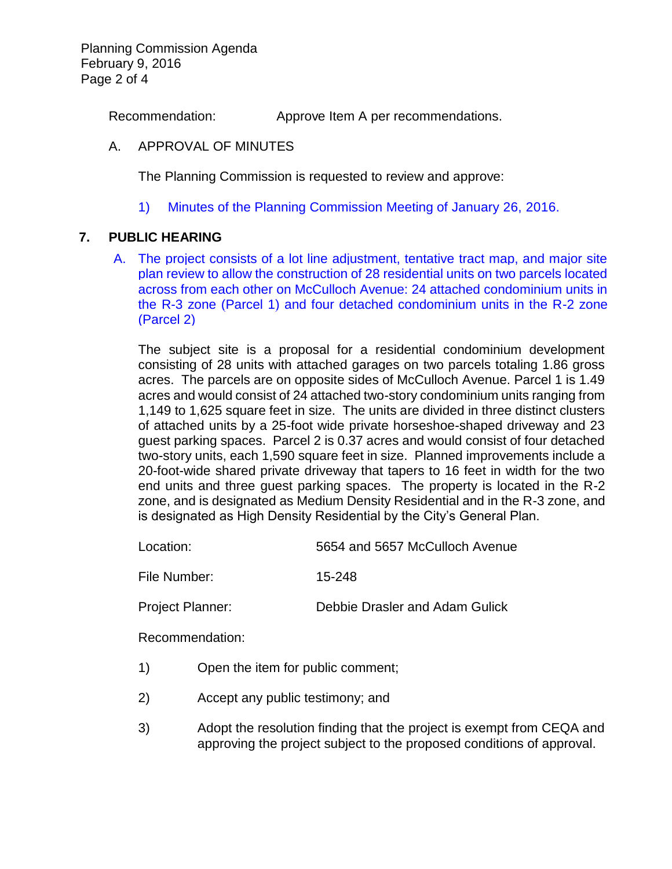Planning Commission Agenda February 9, 2016 Page 2 of 4

Recommendation: Approve Item A per recommendations.

#### A. APPROVAL OF MINUTES

The Planning Commission is requested to review and approve:

1) Minutes of the [Planning Commission Meeting](http://ca-templecity.civicplus.com/DocumentCenter/View/5453) of January 26, 2016.

#### **7. PUBLIC HEARING**

A. [The project consists of a lot line adjustment, tentative tract map, and major site](http://ca-templecity.civicplus.com/DocumentCenter/View/5454)  [plan review to allow the construction of 28 residential units on two parcels located](http://ca-templecity.civicplus.com/DocumentCenter/View/5454)  [across from each other on McCulloch Avenue: 24 attached condominium units in](http://ca-templecity.civicplus.com/DocumentCenter/View/5454)  [the R-3 zone \(Parcel 1\) and four detached condominium units in the R-2 zone](http://ca-templecity.civicplus.com/DocumentCenter/View/5454)  [\(Parcel 2\)](http://ca-templecity.civicplus.com/DocumentCenter/View/5454)

The subject site is a proposal for a residential condominium development consisting of 28 units with attached garages on two parcels totaling 1.86 gross acres. The parcels are on opposite sides of McCulloch Avenue. Parcel 1 is 1.49 acres and would consist of 24 attached two-story condominium units ranging from 1,149 to 1,625 square feet in size. The units are divided in three distinct clusters of attached units by a 25-foot wide private horseshoe-shaped driveway and 23 guest parking spaces. Parcel 2 is 0.37 acres and would consist of four detached two-story units, each 1,590 square feet in size. Planned improvements include a 20-foot-wide shared private driveway that tapers to 16 feet in width for the two end units and three guest parking spaces. The property is located in the R-2 zone, and is designated as Medium Density Residential and in the R-3 zone, and is designated as High Density Residential by the City's General Plan.

| 5654 and 5657 McCulloch Avenue<br>Location: |
|---------------------------------------------|
|---------------------------------------------|

File Number: 15-248

Project Planner: Debbie Drasler and Adam Gulick

Recommendation:

- 1) Open the item for public comment;
- 2) Accept any public testimony; and
- 3) Adopt the resolution finding that the project is exempt from CEQA and approving the project subject to the proposed conditions of approval.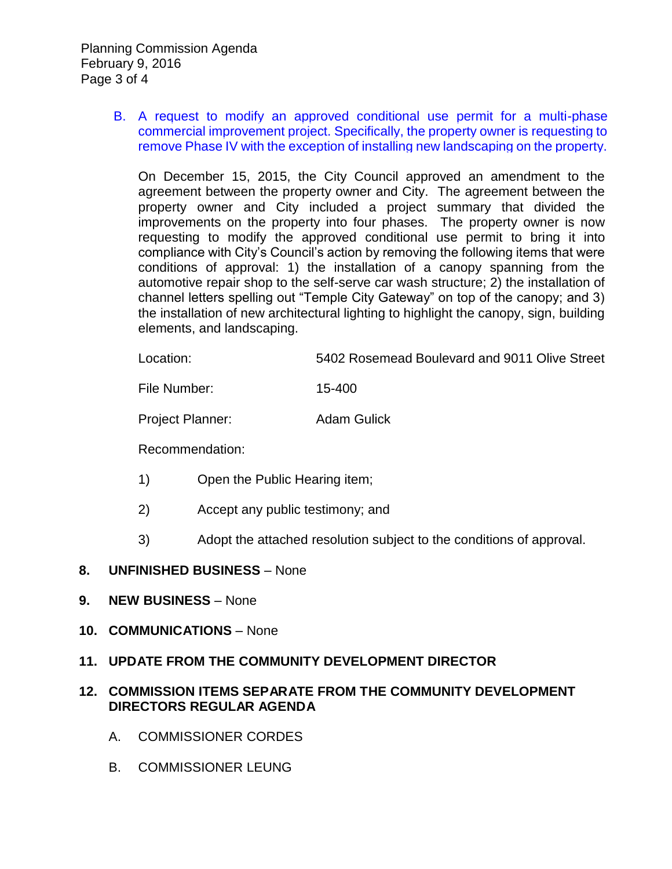B. [A request to modify an approved conditional use permit for a multi-phase](http://ca-templecity.civicplus.com/DocumentCenter/View/5455)  [commercial improvement project. Specifically, the property owner is requesting to](http://ca-templecity.civicplus.com/DocumentCenter/View/5455)  [remove Phase IV with the exception of installing new landscaping on the property.](http://ca-templecity.civicplus.com/DocumentCenter/View/5455)

On December 15, 2015, the City Council approved an amendment to the agreement between the property owner and City. The agreement between the property owner and City included a project summary that divided the improvements on the property into four phases. The property owner is now requesting to modify the approved conditional use permit to bring it into compliance with City's Council's action by removing the following items that were conditions of approval: 1) the installation of a canopy spanning from the automotive repair shop to the self-serve car wash structure; 2) the installation of channel letters spelling out "Temple City Gateway" on top of the canopy; and 3) the installation of new architectural lighting to highlight the canopy, sign, building elements, and landscaping.

Location: 5402 Rosemead Boulevard and 9011 Olive Street

File Number: 15-400

Project Planner: Adam Gulick

Recommendation:

- 1) Open the Public Hearing item;
- 2) Accept any public testimony; and
- 3) Adopt the attached resolution subject to the conditions of approval.

## **8. UNFINISHED BUSINESS** – None

- **9. NEW BUSINESS** None
- **10. COMMUNICATIONS** None
- **11. UPDATE FROM THE COMMUNITY DEVELOPMENT DIRECTOR**

# **12. COMMISSION ITEMS SEPARATE FROM THE COMMUNITY DEVELOPMENT DIRECTORS REGULAR AGENDA**

- A. COMMISSIONER CORDES
- B. COMMISSIONER LEUNG